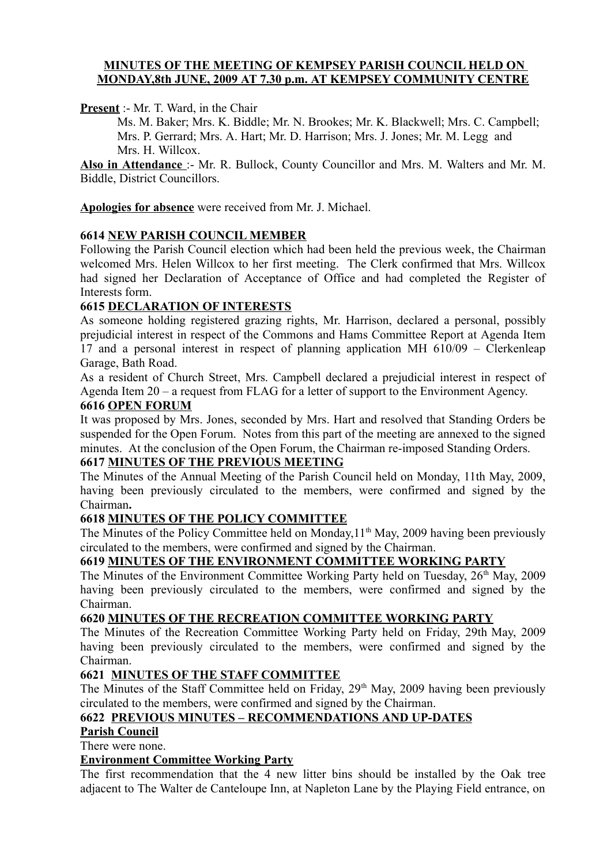## **MINUTES OF THE MEETING OF KEMPSEY PARISH COUNCIL HELD ON MONDAY,8th JUNE, 2009 AT 7.30 p.m. AT KEMPSEY COMMUNITY CENTRE**

**Present** :- Mr. T. Ward, in the Chair

Ms. M. Baker; Mrs. K. Biddle; Mr. N. Brookes; Mr. K. Blackwell; Mrs. C. Campbell; Mrs. P. Gerrard; Mrs. A. Hart; Mr. D. Harrison; Mrs. J. Jones; Mr. M. Legg and Mrs. H. Willcox.

**Also in Attendance** :- Mr. R. Bullock, County Councillor and Mrs. M. Walters and Mr. M. Biddle, District Councillors.

**Apologies for absence** were received from Mr. J. Michael.

## **6614 NEW PARISH COUNCIL MEMBER**

Following the Parish Council election which had been held the previous week, the Chairman welcomed Mrs. Helen Willcox to her first meeting. The Clerk confirmed that Mrs. Willcox had signed her Declaration of Acceptance of Office and had completed the Register of Interests form.

## **6615 DECLARATION OF INTERESTS**

As someone holding registered grazing rights, Mr. Harrison, declared a personal, possibly prejudicial interest in respect of the Commons and Hams Committee Report at Agenda Item 17 and a personal interest in respect of planning application MH 610/09 – Clerkenleap Garage, Bath Road.

As a resident of Church Street, Mrs. Campbell declared a prejudicial interest in respect of Agenda Item 20 – a request from FLAG for a letter of support to the Environment Agency.

#### **6616 OPEN FORUM**

It was proposed by Mrs. Jones, seconded by Mrs. Hart and resolved that Standing Orders be suspended for the Open Forum. Notes from this part of the meeting are annexed to the signed minutes. At the conclusion of the Open Forum, the Chairman re-imposed Standing Orders.

#### **6617 MINUTES OF THE PREVIOUS MEETING**

The Minutes of the Annual Meeting of the Parish Council held on Monday, 11th May, 2009, having been previously circulated to the members, were confirmed and signed by the Chairman**.**

## **6618 MINUTES OF THE POLICY COMMITTEE**

The Minutes of the Policy Committee held on Monday, 11<sup>th</sup> May, 2009 having been previously circulated to the members, were confirmed and signed by the Chairman.

## **6619 MINUTES OF THE ENVIRONMENT COMMITTEE WORKING PARTY**

The Minutes of the Environment Committee Working Party held on Tuesday, 26<sup>th</sup> May, 2009 having been previously circulated to the members, were confirmed and signed by the Chairman.

## **6620 MINUTES OF THE RECREATION COMMITTEE WORKING PARTY**

The Minutes of the Recreation Committee Working Party held on Friday, 29th May, 2009 having been previously circulated to the members, were confirmed and signed by the Chairman.

## **6621 MINUTES OF THE STAFF COMMITTEE**

The Minutes of the Staff Committee held on Friday, 29<sup>th</sup> May, 2009 having been previously circulated to the members, were confirmed and signed by the Chairman.

## **6622 PREVIOUS MINUTES – RECOMMENDATIONS AND UP-DATES**

## **Parish Council**

There were none.

#### **Environment Committee Working Party**

The first recommendation that the 4 new litter bins should be installed by the Oak tree adjacent to The Walter de Canteloupe Inn, at Napleton Lane by the Playing Field entrance, on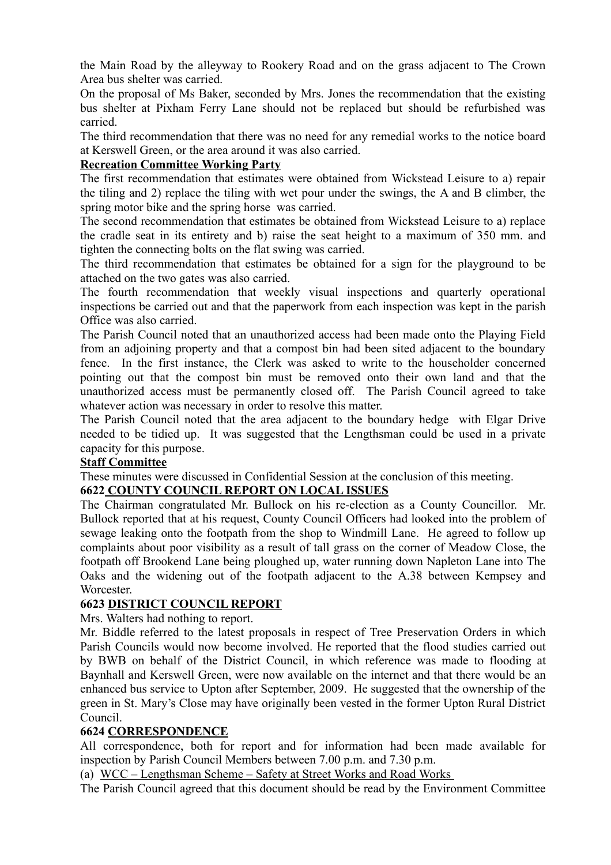the Main Road by the alleyway to Rookery Road and on the grass adjacent to The Crown Area bus shelter was carried.

On the proposal of Ms Baker, seconded by Mrs. Jones the recommendation that the existing bus shelter at Pixham Ferry Lane should not be replaced but should be refurbished was carried.

The third recommendation that there was no need for any remedial works to the notice board at Kerswell Green, or the area around it was also carried.

## **Recreation Committee Working Party**

The first recommendation that estimates were obtained from Wickstead Leisure to a) repair the tiling and 2) replace the tiling with wet pour under the swings, the A and B climber, the spring motor bike and the spring horse was carried.

The second recommendation that estimates be obtained from Wickstead Leisure to a) replace the cradle seat in its entirety and b) raise the seat height to a maximum of 350 mm. and tighten the connecting bolts on the flat swing was carried.

The third recommendation that estimates be obtained for a sign for the playground to be attached on the two gates was also carried.

The fourth recommendation that weekly visual inspections and quarterly operational inspections be carried out and that the paperwork from each inspection was kept in the parish Office was also carried.

The Parish Council noted that an unauthorized access had been made onto the Playing Field from an adjoining property and that a compost bin had been sited adjacent to the boundary fence. In the first instance, the Clerk was asked to write to the householder concerned pointing out that the compost bin must be removed onto their own land and that the unauthorized access must be permanently closed off. The Parish Council agreed to take whatever action was necessary in order to resolve this matter.

The Parish Council noted that the area adjacent to the boundary hedge with Elgar Drive needed to be tidied up. It was suggested that the Lengthsman could be used in a private capacity for this purpose.

#### **Staff Committee**

These minutes were discussed in Confidential Session at the conclusion of this meeting.

## **6622 COUNTY COUNCIL REPORT ON LOCAL ISSUES**

The Chairman congratulated Mr. Bullock on his re-election as a County Councillor. Mr. Bullock reported that at his request, County Council Officers had looked into the problem of sewage leaking onto the footpath from the shop to Windmill Lane. He agreed to follow up complaints about poor visibility as a result of tall grass on the corner of Meadow Close, the footpath off Brookend Lane being ploughed up, water running down Napleton Lane into The Oaks and the widening out of the footpath adjacent to the A.38 between Kempsey and Worcester.

## **6623 DISTRICT COUNCIL REPORT**

Mrs. Walters had nothing to report.

Mr. Biddle referred to the latest proposals in respect of Tree Preservation Orders in which Parish Councils would now become involved. He reported that the flood studies carried out by BWB on behalf of the District Council, in which reference was made to flooding at Baynhall and Kerswell Green, were now available on the internet and that there would be an enhanced bus service to Upton after September, 2009. He suggested that the ownership of the green in St. Mary's Close may have originally been vested in the former Upton Rural District Council.

#### **6624 CORRESPONDENCE**

All correspondence, both for report and for information had been made available for inspection by Parish Council Members between 7.00 p.m. and 7.30 p.m.

(a) WCC – Lengthsman Scheme – Safety at Street Works and Road Works

The Parish Council agreed that this document should be read by the Environment Committee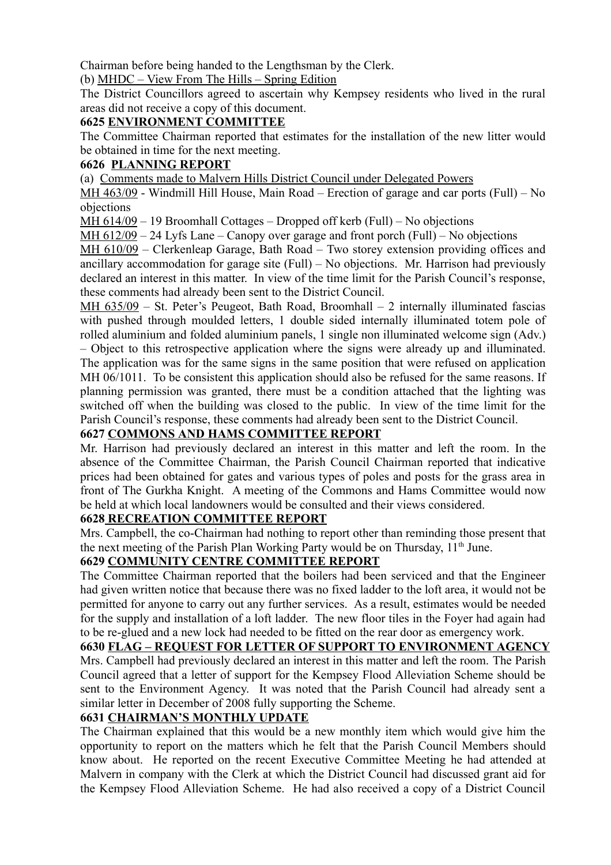Chairman before being handed to the Lengthsman by the Clerk.

(b) MHDC – View From The Hills – Spring Edition

The District Councillors agreed to ascertain why Kempsey residents who lived in the rural areas did not receive a copy of this document.

# **6625 ENVIRONMENT COMMITTEE**

The Committee Chairman reported that estimates for the installation of the new litter would be obtained in time for the next meeting.

# **6626 PLANNING REPORT**

(a) Comments made to Malvern Hills District Council under Delegated Powers

MH 463/09 - Windmill Hill House, Main Road – Erection of garage and car ports (Full) – No objections

MH 614/09 – 19 Broomhall Cottages – Dropped off kerb (Full) – No objections

MH 612/09 – 24 Lyfs Lane – Canopy over garage and front porch (Full) – No objections

MH 610/09 – Clerkenleap Garage, Bath Road – Two storey extension providing offices and ancillary accommodation for garage site (Full) – No objections. Mr. Harrison had previously declared an interest in this matter. In view of the time limit for the Parish Council's response, these comments had already been sent to the District Council.

MH  $635/09$  – St. Peter's Peugeot, Bath Road, Broomhall – 2 internally illuminated fascias with pushed through moulded letters, 1 double sided internally illuminated totem pole of rolled aluminium and folded aluminium panels, 1 single non illuminated welcome sign (Adv.) – Object to this retrospective application where the signs were already up and illuminated. The application was for the same signs in the same position that were refused on application MH 06/1011. To be consistent this application should also be refused for the same reasons. If planning permission was granted, there must be a condition attached that the lighting was switched off when the building was closed to the public. In view of the time limit for the Parish Council's response, these comments had already been sent to the District Council.

# **6627 COMMONS AND HAMS COMMITTEE REPORT**

Mr. Harrison had previously declared an interest in this matter and left the room. In the absence of the Committee Chairman, the Parish Council Chairman reported that indicative prices had been obtained for gates and various types of poles and posts for the grass area in front of The Gurkha Knight. A meeting of the Commons and Hams Committee would now be held at which local landowners would be consulted and their views considered.

# **6628 RECREATION COMMITTEE REPORT**

Mrs. Campbell, the co-Chairman had nothing to report other than reminding those present that the next meeting of the Parish Plan Working Party would be on Thursday, 11<sup>th</sup> June.

# **6629 COMMUNITY CENTRE COMMITTEE REPORT**

The Committee Chairman reported that the boilers had been serviced and that the Engineer had given written notice that because there was no fixed ladder to the loft area, it would not be permitted for anyone to carry out any further services. As a result, estimates would be needed for the supply and installation of a loft ladder. The new floor tiles in the Foyer had again had to be re-glued and a new lock had needed to be fitted on the rear door as emergency work.

**6630 FLAG – REQUEST FOR LETTER OF SUPPORT TO ENVIRONMENT AGENCY** Mrs. Campbell had previously declared an interest in this matter and left the room. The Parish Council agreed that a letter of support for the Kempsey Flood Alleviation Scheme should be sent to the Environment Agency. It was noted that the Parish Council had already sent a similar letter in December of 2008 fully supporting the Scheme.

# **6631 CHAIRMAN'S MONTHLY UPDATE**

The Chairman explained that this would be a new monthly item which would give him the opportunity to report on the matters which he felt that the Parish Council Members should know about. He reported on the recent Executive Committee Meeting he had attended at Malvern in company with the Clerk at which the District Council had discussed grant aid for the Kempsey Flood Alleviation Scheme. He had also received a copy of a District Council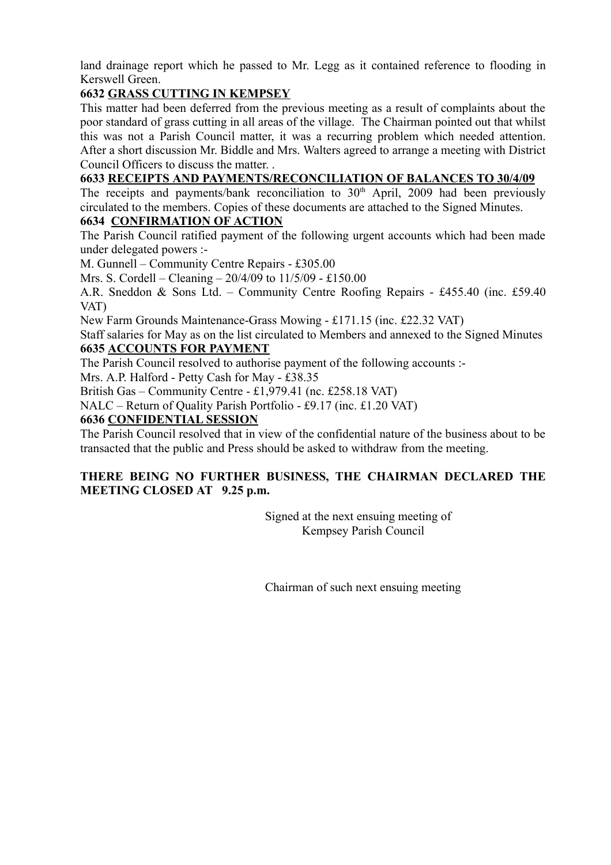land drainage report which he passed to Mr. Legg as it contained reference to flooding in Kerswell Green.

# **6632 GRASS CUTTING IN KEMPSEY**

This matter had been deferred from the previous meeting as a result of complaints about the poor standard of grass cutting in all areas of the village. The Chairman pointed out that whilst this was not a Parish Council matter, it was a recurring problem which needed attention. After a short discussion Mr. Biddle and Mrs. Walters agreed to arrange a meeting with District Council Officers to discuss the matter.

# **6633 RECEIPTS AND PAYMENTS/RECONCILIATION OF BALANCES TO 30/4/09**

The receipts and payments/bank reconciliation to  $30<sup>th</sup>$  April, 2009 had been previously circulated to the members. Copies of these documents are attached to the Signed Minutes.

## **6634 CONFIRMATION OF ACTION**

The Parish Council ratified payment of the following urgent accounts which had been made under delegated powers :-

M. Gunnell – Community Centre Repairs - £305.00

Mrs. S. Cordell – Cleaning – 20/4/09 to 11/5/09 - £150.00

A.R. Sneddon & Sons Ltd. – Community Centre Roofing Repairs - £455.40 (inc. £59.40 VAT)

New Farm Grounds Maintenance-Grass Mowing - £171.15 (inc. £22.32 VAT)

Staff salaries for May as on the list circulated to Members and annexed to the Signed Minutes **6635 ACCOUNTS FOR PAYMENT**

The Parish Council resolved to authorise payment of the following accounts :-

Mrs. A.P. Halford - Petty Cash for May - £38.35

British Gas – Community Centre - £1,979.41 (nc. £258.18 VAT)

NALC – Return of Quality Parish Portfolio - £9.17 (inc. £1.20 VAT)

## **6636 CONFIDENTIAL SESSION**

The Parish Council resolved that in view of the confidential nature of the business about to be transacted that the public and Press should be asked to withdraw from the meeting.

## **THERE BEING NO FURTHER BUSINESS, THE CHAIRMAN DECLARED THE MEETING CLOSED AT 9.25 p.m.**

Signed at the next ensuing meeting of Kempsey Parish Council

Chairman of such next ensuing meeting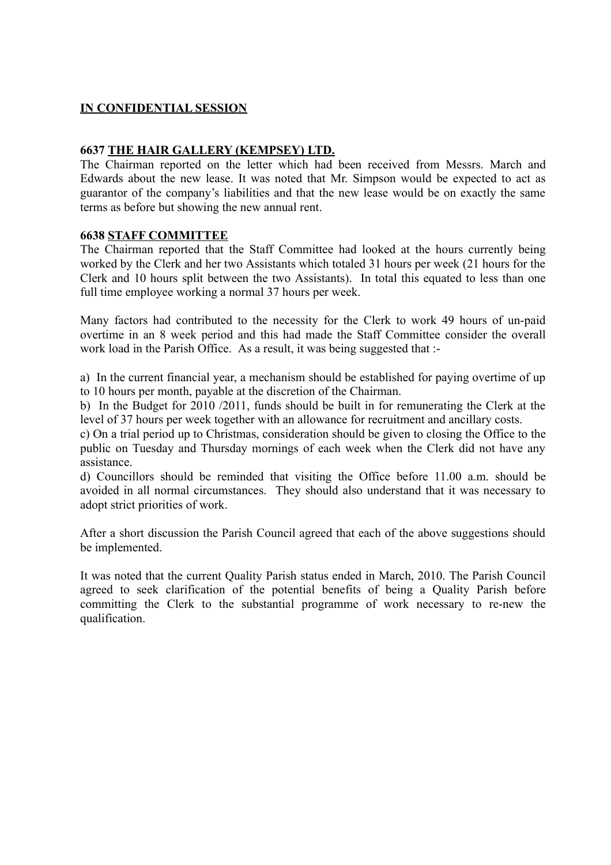## **IN CONFIDENTIAL SESSION**

## **6637 THE HAIR GALLERY (KEMPSEY) LTD.**

The Chairman reported on the letter which had been received from Messrs. March and Edwards about the new lease. It was noted that Mr. Simpson would be expected to act as guarantor of the company's liabilities and that the new lease would be on exactly the same terms as before but showing the new annual rent.

#### **6638 STAFF COMMITTEE**

The Chairman reported that the Staff Committee had looked at the hours currently being worked by the Clerk and her two Assistants which totaled 31 hours per week (21 hours for the Clerk and 10 hours split between the two Assistants). In total this equated to less than one full time employee working a normal 37 hours per week.

Many factors had contributed to the necessity for the Clerk to work 49 hours of un-paid overtime in an 8 week period and this had made the Staff Committee consider the overall work load in the Parish Office. As a result, it was being suggested that :-

a) In the current financial year, a mechanism should be established for paying overtime of up to 10 hours per month, payable at the discretion of the Chairman.

b) In the Budget for 2010 /2011, funds should be built in for remunerating the Clerk at the level of 37 hours per week together with an allowance for recruitment and ancillary costs.

c) On a trial period up to Christmas, consideration should be given to closing the Office to the public on Tuesday and Thursday mornings of each week when the Clerk did not have any assistance.

d) Councillors should be reminded that visiting the Office before 11.00 a.m. should be avoided in all normal circumstances. They should also understand that it was necessary to adopt strict priorities of work.

After a short discussion the Parish Council agreed that each of the above suggestions should be implemented.

It was noted that the current Quality Parish status ended in March, 2010. The Parish Council agreed to seek clarification of the potential benefits of being a Quality Parish before committing the Clerk to the substantial programme of work necessary to re-new the qualification.